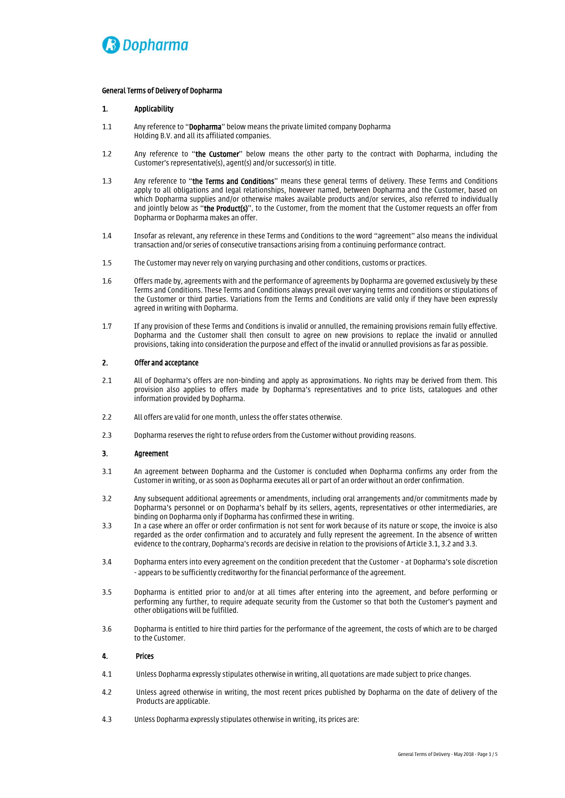

## *General Terms of Delivery of Dopharma*

## *1. Applicability*

- *1.1 Any reference to "Dopharma" below means the private limited company Dopharma Holding B.V. and all its affiliated companies.*
- *1.2 Any reference to "the Customer" below means the other party to the contract with Dopharma, including the Customer's representative(s), agent(s) and/or successor(s) in title.*
- *1.3 Any reference to "the Terms and Conditions" means these general terms of delivery. These Terms and Conditions apply to all obligations and legal relationships, however named, between Dopharma and the Customer, based on which Dopharma supplies and/or otherwise makes available products and/or services, also referred to individually and jointly below as "the Product(s)", to the Customer, from the moment that the Customer requests an offer from Dopharma or Dopharma makes an offer.*
- *1.4 Insofar as relevant, any reference in these Terms and Conditions to the word "agreement" also means the individual transaction and/or series of consecutive transactions arising from a continuing performance contract.*
- *1.5 The Customer may never rely on varying purchasing and other conditions, customs or practices.*
- *1.6 Offers made by, agreements with and the performance of agreements by Dopharma are governed exclusively by these Terms and Conditions. These Terms and Conditions always prevail over varying terms and conditions or stipulations of the Customer or third parties. Variations from the Terms and Conditions are valid only if they have been expressly agreed in writing with Dopharma.*
- *1.7 If any provision of these Terms and Conditions is invalid or annulled, the remaining provisions remain fully effective. Dopharma and the Customer shall then consult to agree on new provisions to replace the invalid or annulled provisions, taking into consideration the purpose and effect of the invalid or annulled provisions as far as possible.*

# *2. Offer and acceptance*

- *2.1 All of Dopharma's offers are non-binding and apply as approximations. No rights may be derived from them. This provision also applies to offers made by Dopharma's representatives and to price lists, catalogues and other information provided by Dopharma.*
- *2.2 All offers are valid for one month, unless the offer states otherwise.*
- *2.3 Dopharma reserves the right to refuse orders from the Customer without providing reasons.*

## *3. Agreement*

- *3.1 An agreement between Dopharma and the Customer is concluded when Dopharma confirms any order from the Customer in writing, or as soon as Dopharma executes all or part of an order without an order confirmation.*
- *3.2 Any subsequent additional agreements or amendments, including oral arrangements and/or commitments made by Dopharma's personnel or on Dopharma's behalf by its sellers, agents, representatives or other intermediaries, are binding on Dopharma only if Dopharma has confirmed these in writing.*
- *3.3 In a case where an offer or order confirmation is not sent for work because of its nature or scope, the invoice is also regarded as the order confirmation and to accurately and fully represent the agreement. In the absence of written evidence to the contrary, Dopharma's records are decisive in relation to the provisions of Article 3.1, 3.2 and 3.3.*
- *3.4 Dopharma enters into every agreement on the condition precedent that the Customer at Dopharma's sole discretion - appears to be sufficiently creditworthy for the financial performance of the agreement.*
- *3.5 Dopharma is entitled prior to and/or at all times after entering into the agreement, and before performing or performing any further, to require adequate security from the Customer so that both the Customer's payment and other obligations will be fulfilled.*
- *3.6 Dopharma is entitled to hire third parties for the performance of the agreement, the costs of which are to be charged to the Customer.*

## *4. Prices*

- *4.1 Unless Dopharma expressly stipulates otherwise in writing, all quotations are made subject to price changes.*
- *4.2 Unless agreed otherwise in writing, the most recent prices published by Dopharma on the date of delivery of the Products are applicable.*
- *4.3 Unless Dopharma expressly stipulates otherwise in writing, its prices are:*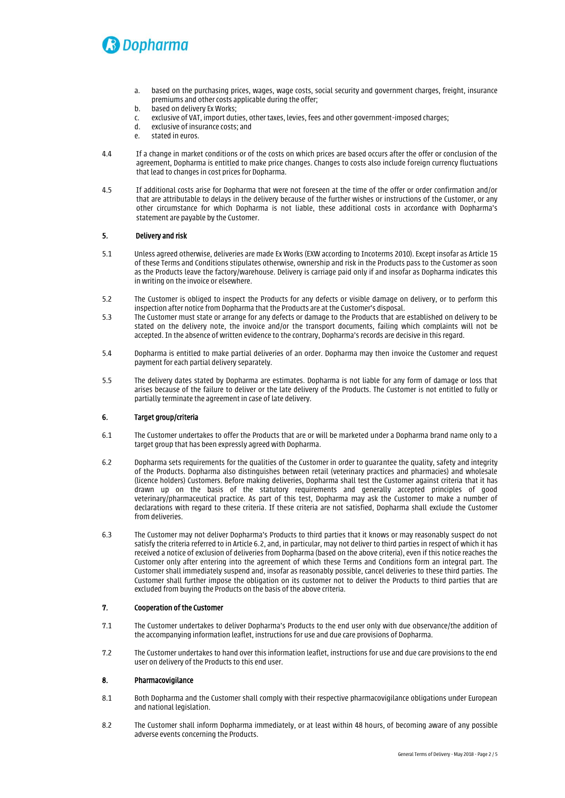

- *a. based on the purchasing prices, wages, wage costs, social security and government charges, freight, insurance premiums and other costs applicable during the offer;*
- *b. based on delivery Ex Works;*
- *c. exclusive of VAT, import duties, other taxes, levies, fees and other government-imposed charges;*
- *d. exclusive of insurance costs; and*
- *e. stated in euros.*
- *4.4 If a change in market conditions or of the costs on which prices are based occurs after the offer or conclusion of the agreement, Dopharma is entitled to make price changes. Changes to costs also include foreign currency fluctuations that lead to changes in cost prices for Dopharma.*
- *4.5 If additional costs arise for Dopharma that were not foreseen at the time of the offer or order confirmation and/or that are attributable to delays in the delivery because of the further wishes or instructions of the Customer, or any other circumstance for which Dopharma is not liable, these additional costs in accordance with Dopharma's statement are payable by the Customer.*

# *5. Delivery and risk*

- *5.1 Unless agreed otherwise, deliveries are made Ex Works (EXW according to Incoterms 2010). Except insofar as Article 15 of these Terms and Conditions stipulates otherwise, ownership and risk in the Products pass to the Customer as soon as the Products leave the factory/warehouse. Delivery is carriage paid only if and insofar as Dopharma indicates this in writing on the invoice or elsewhere.*
- *5.2 The Customer is obliged to inspect the Products for any defects or visible damage on delivery, or to perform this inspection after notice from Dopharma that the Products are at the Customer's disposal.*
- *5.3 The Customer must state or arrange for any defects or damage to the Products that are established on delivery to be stated on the delivery note, the invoice and/or the transport documents, failing which complaints will not be accepted. In the absence of written evidence to the contrary, Dopharma's records are decisive in this regard.*
- *5.4 Dopharma is entitled to make partial deliveries of an order. Dopharma may then invoice the Customer and request payment for each partial delivery separately.*
- *5.5 The delivery dates stated by Dopharma are estimates. Dopharma is not liable for any form of damage or loss that arises because of the failure to deliver or the late delivery of the Products. The Customer is not entitled to fully or partially terminate the agreement in case of late delivery.*

## *6. Target group/criteria*

- *6.1 The Customer undertakes to offer the Products that are or will be marketed under a Dopharma brand name only to a target group that has been expressly agreed with Dopharma.*
- *6.2 Dopharma sets requirements for the qualities of the Customer in order to guarantee the quality, safety and integrity of the Products. Dopharma also distinguishes between retail (veterinary practices and pharmacies) and wholesale (licence holders) Customers. Before making deliveries, Dopharma shall test the Customer against criteria that it has drawn up on the basis of the statutory requirements and generally accepted principles of good veterinary/pharmaceutical practice. As part of this test, Dopharma may ask the Customer to make a number of declarations with regard to these criteria. If these criteria are not satisfied, Dopharma shall exclude the Customer from deliveries.*
- *6.3 The Customer may not deliver Dopharma's Products to third parties that it knows or may reasonably suspect do not satisfy the criteria referred to in Article 6.2, and, in particular, may not deliver to third parties in respect of which it has received a notice of exclusion of deliveries from Dopharma (based on the above criteria), even if this notice reaches the Customer only after entering into the agreement of which these Terms and Conditions form an integral part. The Customer shall immediately suspend and, insofar as reasonably possible, cancel deliveries to these third parties. The Customer shall further impose the obligation on its customer not to deliver the Products to third parties that are excluded from buying the Products on the basis of the above criteria.*

# *7. Cooperation of the Customer*

- *7.1 The Customer undertakes to deliver Dopharma's Products to the end user only with due observance/the addition of the accompanying information leaflet, instructions for use and due care provisions of Dopharma.*
- *7.2 The Customer undertakes to hand over this information leaflet, instructions for use and due care provisions to the end user on delivery of the Products to this end user.*

## *8. Pharmacovigilance*

- *8.1 Both Dopharma and the Customer shall comply with their respective pharmacovigilance obligations under European and national legislation.*
- *8.2 The Customer shall inform Dopharma immediately, or at least within 48 hours, of becoming aware of any possible adverse eventsconcerning the Products.*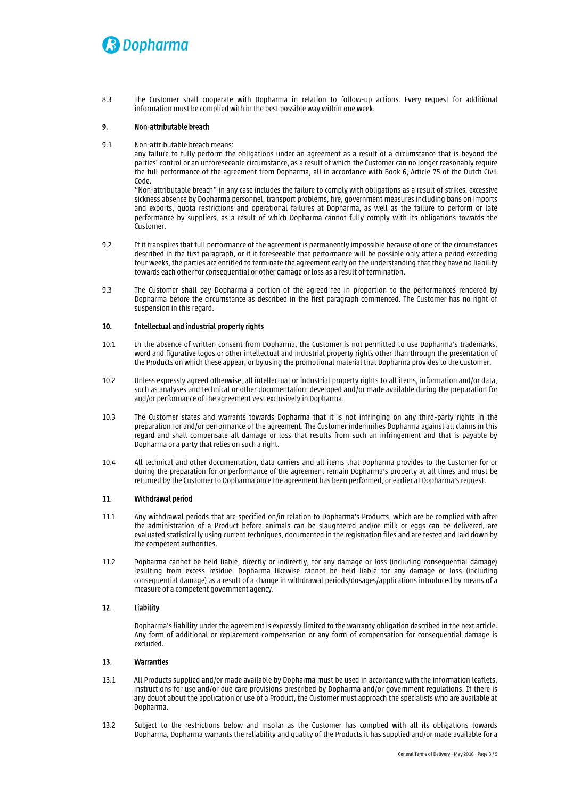# **D**opharma

*8.3 The Customer shall cooperate with Dopharma in relation to follow-up actions. Every request for additional information must be complied with in the best possible way within one week.*

# *9. Non-attributable breach*

*9.1 Non-attributable breach means:*

any failure to fully perform the obligations under an agreement as a result of a circumstance that is beyond the *parties' control or an unforeseeable circumstance, as a result of which the Customer can no longer reasonably require the full performance of the agreement from Dopharma, all in accordance with Book 6, Article 75 of the Dutch Civil Code.* 

*"Non-attributable breach"* in any case includes the failure to comply with obligations as a result of strikes, excessive *sickness absence by Dopharma personnel, transport problems, fire, government measures including bans on imports and exports, quota restrictions and operational failures at Dopharma, as well as the failure to perform or late performance by suppliers, as a result of which Dopharma cannot fully comply with its obligations towards the Customer.* 

- *9.2 If it transpires that full performance of the agreement is permanently impossible because of one of the circumstances described in the first paragraph, or if it foreseeable that performance will be possible only after a period exceeding four weeks, the parties are entitled to terminate the agreement early on the understanding that they have no liability towards each other for consequential or other damage or loss as a result of termination.*
- *9.3 The Customer shall pay Dopharma a portion of the agreed fee in proportion to the performances rendered by Dopharma before the circumstance as described in the first paragraph commenced. The Customer has no right of suspension in this regard.*

# *10. Intellectual and industrial property rights*

- *10.1 In the absence of written consent from Dopharma, the Customer is not permitted to use Dopharma's trademarks, word and figurative logos or other intellectual and industrial property rights other than through the presentation of the Products on which these appear, or by using the promotional material that Dopharma provides to the Customer.*
- *10.2 Unless expressly agreed otherwise, all intellectual or industrial property rights to all items, information and/or data, such as analyses and technical or other documentation, developed and/or made available during the preparation for and/or performance of the agreement vest exclusively in Dopharma.*
- *10.3 The Customer states and warrants towards Dopharma that it is not infringing on any third-party rights in the preparation for and/or performance of the agreement. The Customer indemnifies Dopharma against all claims in this regard and shall compensate all damage or loss that results from such an infringement and that is payable by Dopharma or a party that relies on such a right.*
- *10.4 All technical and other documentation, data carriers and all items that Dopharma provides to the Customer for or during the preparation for or performance of the agreement remain Dopharma's property at all times and must be returned by the Customer to Dopharma once the agreement has been performed, or earlier at Dopharma's request.*

## *11. Withdrawal period*

- *11.1 Any withdrawal periods that are specified on/in relation to Dopharma's Products, which are be complied with after the administration of a Product before animals can be slaughtered and/or milk or eggs can be delivered, are evaluated statistically using current techniques, documented in the registration files and are tested and laid down by the competent authorities.*
- *11.2 Dopharma cannot be held liable, directly or indirectly, for any damage or loss (including consequential damage) resulting from excess residue. Dopharma likewise cannot be held liable for any damage or loss (including consequential damage) as a result of a change in withdrawal periods/dosages/applications introduced by means of a measure of a competent government agency.*

# *12. Liability*

*Dopharma's liability under the agreement is expressly limited to the warranty obligation described in the next article. Any form of additional or replacement compensation or any form of compensation for consequential damage is excluded.*

# *13. Warranties*

- *13.1 All Products supplied and/or made available by Dopharma must be used in accordance with the information leaflets, instructions for use and/or due care provisions prescribed by Dopharma and/or government regulations. If there is any doubt about the application or use of a Product, the Customer must approach the specialists who are available at Dopharma.*
- *13.2 Subject to the restrictions below and insofar as the Customer has complied with all its obligations towards Dopharma, Dopharma warrants the reliability and quality of the Products it has supplied and/or made available for a*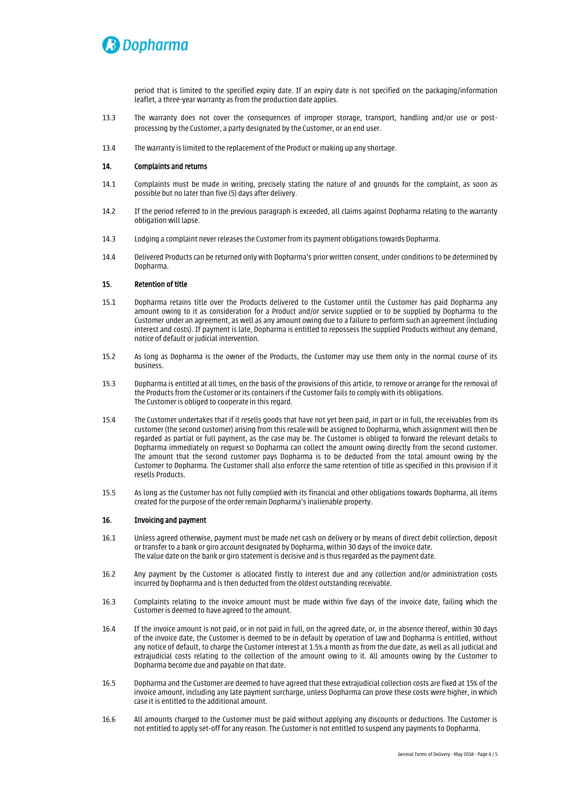

*period that is limited to the specified expiry date. If an expiry date is not specified on the packaging/information leaflet, a three-year warranty as from the production date applies.*

- *13.3 The warranty does not cover the consequences of improper storage, transport, handling and/or use or postprocessing by the Customer, a party designated by the Customer, or an end user.*
- *13.4 The warranty is limited to the replacement of the Product or making up any shortage.*

## *14. Complaints and returns*

- *14.1 Complaints must be made in writing, precisely stating the nature of and grounds for the complaint, as soon as possible but no later than five (5) days after delivery.*
- *14.2 If the period referred to in the previous paragraph is exceeded, all claims against Dopharma relating to the warranty obligation will lapse.*
- *14.3 Lodging a complaint never releases the Customer from its payment obligations towards Dopharma.*
- *14.4 Delivered Products can be returned only with Dopharma's prior written consent, under conditions to be determined by Dopharma.*

#### *15. Retention of title*

- *15.1 Dopharma retains title over the Products delivered to the Customer until the Customer has paid Dopharma any amount owing to it as consideration for a Product and/or service supplied or to be supplied by Dopharma to the Customer under an agreement, as well as any amount owing due to a failure to perform such an agreement (including interest and costs). If payment is late, Dopharma is entitled to repossess the supplied Products without any demand, notice of default or judicial intervention.*
- *15.2 As long as Dopharma is the owner of the Products, the Customer may use them only in the normal course of its business.*
- *15.3 Dopharma is entitled at all times, on the basis of the provisions of this article, to remove or arrange for the removal of the Products from the Customer or its containers if the Customer fails to comply with its obligations. The Customer is obliged to cooperate in this regard.*
- *15.4 The Customer undertakes that if it resells goods that have not yet been paid, in part or in full, the receivables from its customer (the second customer) arising from this resale will be assigned to Dopharma, which assignment will then be regarded as partial or full payment, as the case may be. The Customer is obliged to forward the relevant details to Dopharma immediately on request so Dopharma can collect the amount owing directly from the second customer. The amount that the second customer pays Dopharma is to be deducted from the total amount owing by the Customer to Dopharma. The Customer shall also enforce the same retention of title as specified in this provision if it resells Products.*
- *15.5 As long as the Customer has not fully complied with its financial and other obligations towards Dopharma, all items created for the purpose of the order remain Dopharma's inalienable property.*

# *16. Invoicing and payment*

- *16.1 Unless agreed otherwise, payment must be made net cash on delivery or by means of direct debit collection, deposit or transfer to a bank or giro account designated by Dopharma, within 30 days of the invoice date. The value date on the bank or giro statement is decisive and is thus regarded as the payment date.*
- *16.2 Any payment by the Customer is allocated firstly to interest due and any collection and/or administration costs incurred by Dopharma and is then deducted from the oldest outstanding receivable.*
- *16.3 Complaints relating to the invoice amount must be made within five days of the invoice date, failing which the Customer is deemed to have agreed to the amount.*
- *16.4 If the invoice amount is not paid, or in not paid in full, on the agreed date, or, in the absence thereof, within 30 days of the invoice date, the Customer is deemed to be in default by operation of law and Dopharma is entitled, without any notice of default, to charge the Customer interest at 1.5% a month as from the due date, as well as all judicial and extrajudicial costs relating to the collection of the amount owing to it. All amounts owing by the Customer to Dopharma become due and payable on that date.*
- *16.5 Dopharma and the Customer are deemed to have agreed that these extrajudicial collection costs are fixed at 15% of the invoice amount, including any late payment surcharge, unless Dopharma can prove these costs were higher, in which case it is entitled to the additional amount.*
- *16.6 All amounts charged to the Customer must be paid without applying any discounts or deductions. The Customer is not entitled to apply set-off for any reason. The Customer is not entitled to suspend any payments to Dopharma.*